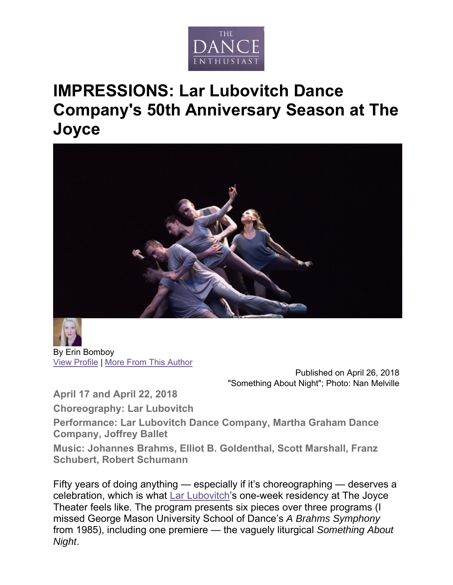

## **IMPRESSIONS: Lar Lubovitch Dance Company's 50th Anniversary Season at The Joyce**



By Erin Bomboy View Profile | More From This Author

> Published on April 26, 2018 "Something About Night"; Photo: Nan Melville

**April 17 and April 22, 2018** 

**Choreography: Lar Lubovitch** 

**Performance: Lar Lubovitch Dance Company, Martha Graham Dance Company, Joffrey Ballet** 

**Music: Johannes Brahms, Elliot B. Goldenthal, Scott Marshall, Franz Schubert, Robert Schumann** 

Fifty years of doing anything — especially if it's choreographing — deserves a celebration, which is what Lar Lubovitch's one-week residency at The Joyce Theater feels like. The program presents six pieces over three programs (I missed George Mason University School of Dance's *A Brahms Symphony* from 1985), including one premiere — the vaguely liturgical *Something About Night*.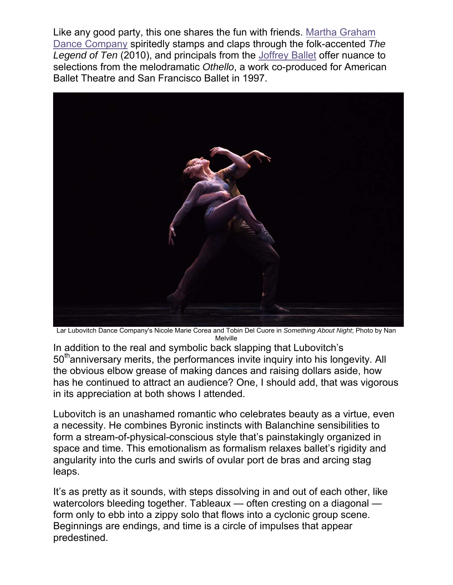Like any good party, this one shares the fun with friends. Martha Graham Dance Company spiritedly stamps and claps through the folk-accented *The Legend of Ten* (2010), and principals from the Joffrey Ballet offer nuance to selections from the melodramatic *Othello*, a work co-produced for American Ballet Theatre and San Francisco Ballet in 1997.



Lar Lubovitch Dance Company's Nicole Marie Corea and Tobin Del Cuore in *Something About Night*; Photo by Nan Melville

In addition to the real and symbolic back slapping that Lubovitch's 50<sup>th</sup>anniversary merits, the performances invite inquiry into his longevity. All the obvious elbow grease of making dances and raising dollars aside, how has he continued to attract an audience? One, I should add, that was vigorous in its appreciation at both shows I attended.

Lubovitch is an unashamed romantic who celebrates beauty as a virtue, even a necessity. He combines Byronic instincts with Balanchine sensibilities to form a stream-of-physical-conscious style that's painstakingly organized in space and time. This emotionalism as formalism relaxes ballet's rigidity and angularity into the curls and swirls of ovular port de bras and arcing stag leaps.

It's as pretty as it sounds, with steps dissolving in and out of each other, like watercolors bleeding together. Tableaux — often cresting on a diagonal form only to ebb into a zippy solo that flows into a cyclonic group scene. Beginnings are endings, and time is a circle of impulses that appear predestined.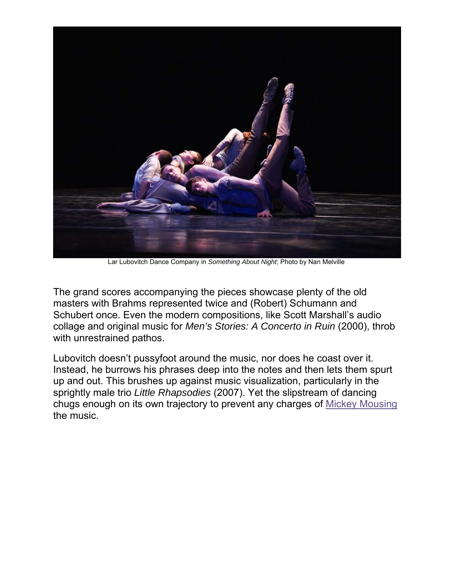

Lar Lubovitch Dance Company in *Something About Night*; Photo by Nan Melville

The grand scores accompanying the pieces showcase plenty of the old masters with Brahms represented twice and (Robert) Schumann and Schubert once. Even the modern compositions, like Scott Marshall's audio collage and original music for *Men's Stories: A Concerto in Ruin* (2000), throb with unrestrained pathos.

Lubovitch doesn't pussyfoot around the music, nor does he coast over it. Instead, he burrows his phrases deep into the notes and then lets them spurt up and out. This brushes up against music visualization, particularly in the sprightly male trio *Little Rhapsodies* (2007). Yet the slipstream of dancing chugs enough on its own trajectory to prevent any charges of Mickey Mousing the music.